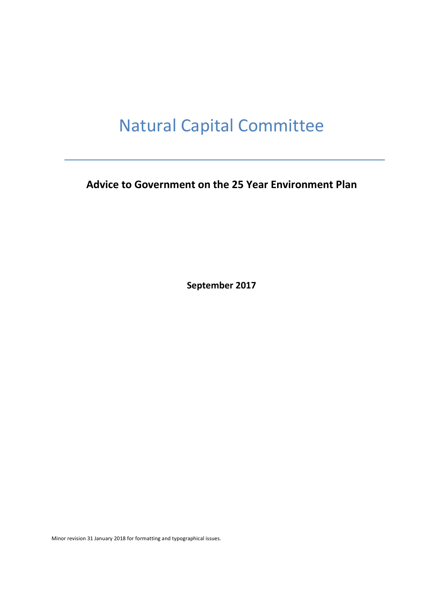# Natural Capital Committee

**Advice to Government on the 25 Year Environment Plan**

**September 2017**

Minor revision 31 January 2018 for formatting and typographical issues.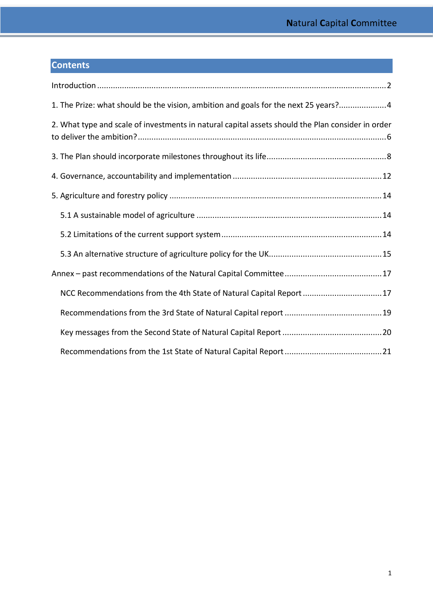# **Contents**

| 1. The Prize: what should be the vision, ambition and goals for the next 25 years?4               |
|---------------------------------------------------------------------------------------------------|
| 2. What type and scale of investments in natural capital assets should the Plan consider in order |
|                                                                                                   |
|                                                                                                   |
|                                                                                                   |
|                                                                                                   |
|                                                                                                   |
|                                                                                                   |
|                                                                                                   |
| NCC Recommendations from the 4th State of Natural Capital Report 17                               |
|                                                                                                   |
|                                                                                                   |
|                                                                                                   |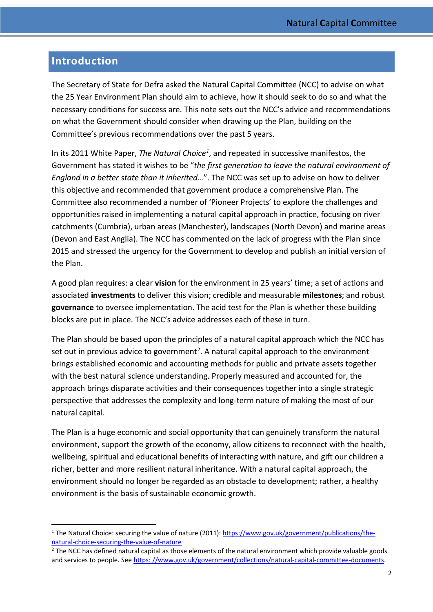#### <span id="page-2-0"></span>**Introduction**

The Secretary of State for Defra asked the Natural Capital Committee (NCC) to advise on what the 25 Year Environment Plan should aim to achieve, how it should seek to do so and what the necessary conditions for success are. This note sets out the NCC's advice and recommendations on what the Government should consider when drawing up the Plan, building on the Committee's previous recommendations over the past 5 years.

In its 2011 White Paper, *The Natural Choice[1](#page-2-1)* , and repeated in successive manifestos, the Government has stated it wishes to be "*the first generation to leave the natural environment of England in a better state than it inherited…*". The NCC was set up to advise on how to deliver this objective and recommended that government produce a comprehensive Plan. The Committee also recommended a number of 'Pioneer Projects' to explore the challenges and opportunities raised in implementing a natural capital approach in practice, focusing on river catchments (Cumbria), urban areas (Manchester), landscapes (North Devon) and marine areas (Devon and East Anglia). The NCC has commented on the lack of progress with the Plan since 2015 and stressed the urgency for the Government to develop and publish an initial version of the Plan.

A good plan requires: a clear **vision** for the environment in 25 years' time; a set of actions and associated **investments** to deliver this vision; credible and measurable **milestones**; and robust **governance** to oversee implementation. The acid test for the Plan is whether these building blocks are put in place. The NCC's advice addresses each of these in turn.

The Plan should be based upon the principles of a natural capital approach which the NCC has set out in previous advice to government<sup>2</sup>. A natural capital approach to the environment brings established economic and accounting methods for public and private assets together with the best natural science understanding. Properly measured and accounted for, the approach brings disparate activities and their consequences together into a single strategic perspective that addresses the complexity and long-term nature of making the most of our natural capital.

The Plan is a huge economic and social opportunity that can genuinely transform the natural environment, support the growth of the economy, allow citizens to reconnect with the health, wellbeing, spiritual and educational benefits of interacting with nature, and gift our children a richer, better and more resilient natural inheritance. With a natural capital approach, the environment should no longer be regarded as an obstacle to development; rather, a healthy environment is the basis of sustainable economic growth.

<span id="page-2-1"></span><sup>&</sup>lt;sup>1</sup> The Natural Choice: securing the value of nature (2011): [https://www.gov.uk/government/publications/the](https://www.gov.uk/government/publications/the-natural-choice-securing-the-value-of-nature)[natural-choice-securing-the-value-of-nature](https://www.gov.uk/government/publications/the-natural-choice-securing-the-value-of-nature)

<span id="page-2-2"></span> $2$  The NCC has defined natural capital as those elements of the natural environment which provide valuable goods and services to people. See https: [//www.gov.uk/government/collections/natural-capital-committee-documents.](https://www.gov.uk/government/collections/natural-capital-committee-documents)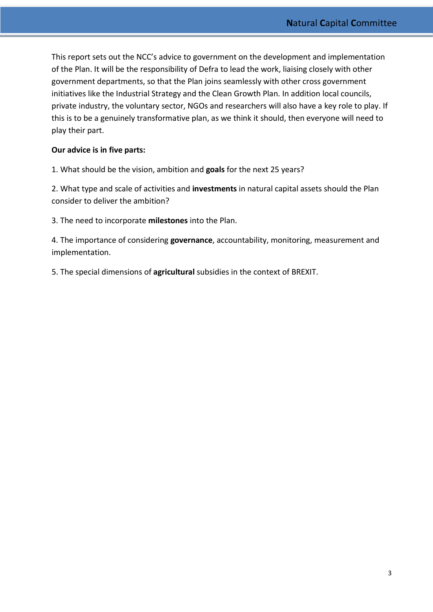This report sets out the NCC's advice to government on the development and implementation of the Plan. It will be the responsibility of Defra to lead the work, liaising closely with other government departments, so that the Plan joins seamlessly with other cross government initiatives like the Industrial Strategy and the Clean Growth Plan. In addition local councils, private industry, the voluntary sector, NGOs and researchers will also have a key role to play. If this is to be a genuinely transformative plan, as we think it should, then everyone will need to play their part.

#### **Our advice is in five parts:**

1. What should be the vision, ambition and **goals** for the next 25 years?

2. What type and scale of activities and **investments** in natural capital assets should the Plan consider to deliver the ambition?

3. The need to incorporate **milestones** into the Plan.

4. The importance of considering **governance**, accountability, monitoring, measurement and implementation.

5. The special dimensions of **agricultural** subsidies in the context of BREXIT.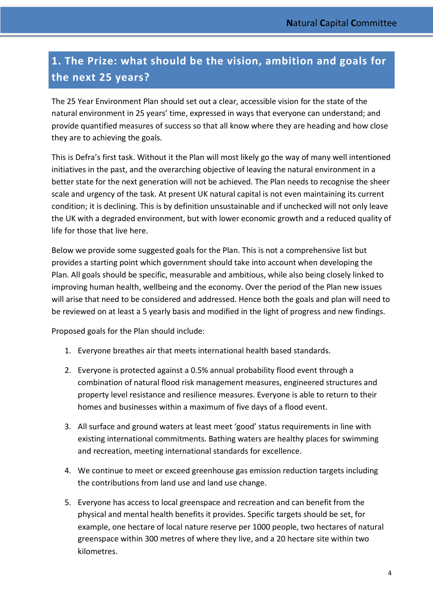# <span id="page-4-0"></span>**1. The Prize: what should be the vision, ambition and goals for the next 25 years?**

The 25 Year Environment Plan should set out a clear, accessible vision for the state of the natural environment in 25 years' time, expressed in ways that everyone can understand; and provide quantified measures of success so that all know where they are heading and how close they are to achieving the goals.

This is Defra's first task. Without it the Plan will most likely go the way of many well intentioned initiatives in the past, and the overarching objective of leaving the natural environment in a better state for the next generation will not be achieved. The Plan needs to recognise the sheer scale and urgency of the task. At present UK natural capital is not even maintaining its current condition; it is declining. This is by definition unsustainable and if unchecked will not only leave the UK with a degraded environment, but with lower economic growth and a reduced quality of life for those that live here.

Below we provide some suggested goals for the Plan. This is not a comprehensive list but provides a starting point which government should take into account when developing the Plan. All goals should be specific, measurable and ambitious, while also being closely linked to improving human health, wellbeing and the economy. Over the period of the Plan new issues will arise that need to be considered and addressed. Hence both the goals and plan will need to be reviewed on at least a 5 yearly basis and modified in the light of progress and new findings.

Proposed goals for the Plan should include:

- 1. Everyone breathes air that meets international health based standards.
- 2. Everyone is protected against a 0.5% annual probability flood event through a combination of natural flood risk management measures, engineered structures and property level resistance and resilience measures. Everyone is able to return to their homes and businesses within a maximum of five days of a flood event.
- 3. All surface and ground waters at least meet 'good' status requirements in line with existing international commitments. Bathing waters are healthy places for swimming and recreation, meeting international standards for excellence.
- 4. We continue to meet or exceed greenhouse gas emission reduction targets including the contributions from land use and land use change.
- 5. Everyone has access to local greenspace and recreation and can benefit from the physical and mental health benefits it provides. Specific targets should be set, for example, one hectare of local nature reserve per 1000 people, two hectares of natural greenspace within 300 metres of where they live, and a 20 hectare site within two kilometres.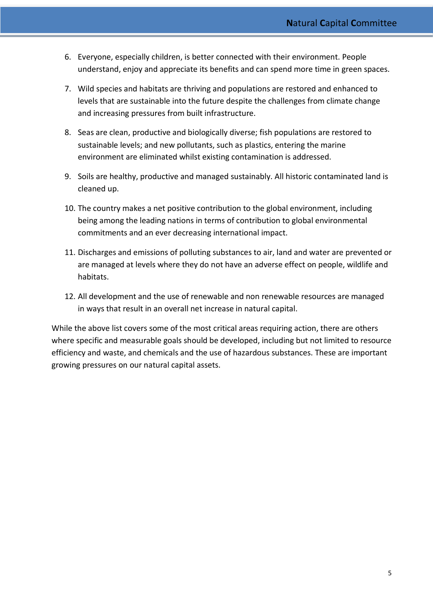- 6. Everyone, especially children, is better connected with their environment. People understand, enjoy and appreciate its benefits and can spend more time in green spaces.
- 7. Wild species and habitats are thriving and populations are restored and enhanced to levels that are sustainable into the future despite the challenges from climate change and increasing pressures from built infrastructure.
- 8. Seas are clean, productive and biologically diverse; fish populations are restored to sustainable levels; and new pollutants, such as plastics, entering the marine environment are eliminated whilst existing contamination is addressed.
- 9. Soils are healthy, productive and managed sustainably. All historic contaminated land is cleaned up.
- 10. The country makes a net positive contribution to the global environment, including being among the leading nations in terms of contribution to global environmental commitments and an ever decreasing international impact.
- 11. Discharges and emissions of polluting substances to air, land and water are prevented or are managed at levels where they do not have an adverse effect on people, wildlife and habitats.
- 12. All development and the use of renewable and non renewable resources are managed in ways that result in an overall net increase in natural capital.

While the above list covers some of the most critical areas requiring action, there are others where specific and measurable goals should be developed, including but not limited to resource efficiency and waste, and chemicals and the use of hazardous substances. These are important growing pressures on our natural capital assets.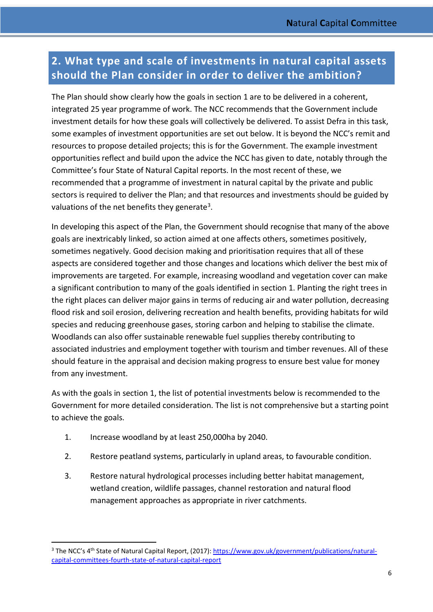### <span id="page-6-0"></span>**2. What type and scale of investments in natural capital assets should the Plan consider in order to deliver the ambition?**

The Plan should show clearly how the goals in section 1 are to be delivered in a coherent, integrated 25 year programme of work. The NCC recommends that the Government include investment details for how these goals will collectively be delivered. To assist Defra in this task, some examples of investment opportunities are set out below. It is beyond the NCC's remit and resources to propose detailed projects; this is for the Government. The example investment opportunities reflect and build upon the advice the NCC has given to date, notably through the Committee's four State of Natural Capital reports. In the most recent of these, we recommended that a programme of investment in natural capital by the private and public sectors is required to deliver the Plan; and that resources and investments should be guided by valuations of the net benefits they generate<sup>3</sup>.

In developing this aspect of the Plan, the Government should recognise that many of the above goals are inextricably linked, so action aimed at one affects others, sometimes positively, sometimes negatively. Good decision making and prioritisation requires that all of these aspects are considered together and those changes and locations which deliver the best mix of improvements are targeted. For example, increasing woodland and vegetation cover can make a significant contribution to many of the goals identified in section 1. Planting the right trees in the right places can deliver major gains in terms of reducing air and water pollution, decreasing flood risk and soil erosion, delivering recreation and health benefits, providing habitats for wild species and reducing greenhouse gases, storing carbon and helping to stabilise the climate. Woodlands can also offer sustainable renewable fuel supplies thereby contributing to associated industries and employment together with tourism and timber revenues. All of these should feature in the appraisal and decision making progress to ensure best value for money from any investment.

As with the goals in section 1, the list of potential investments below is recommended to the Government for more detailed consideration. The list is not comprehensive but a starting point to achieve the goals.

- 1. Increase woodland by at least 250,000ha by 2040.
- 2. Restore peatland systems, particularly in upland areas, to favourable condition.
- 3. Restore natural hydrological processes including better habitat management, wetland creation, wildlife passages, channel restoration and natural flood management approaches as appropriate in river catchments.

<span id="page-6-1"></span> <sup>3</sup> The NCC's 4th State of Natural Capital Report, (2017): [https://www.gov.uk/government/publications/natural](https://www.gov.uk/government/publications/natural-capital-committees-fourth-state-of-natural-capital-report)[capital-committees-fourth-state-of-natural-capital-report](https://www.gov.uk/government/publications/natural-capital-committees-fourth-state-of-natural-capital-report)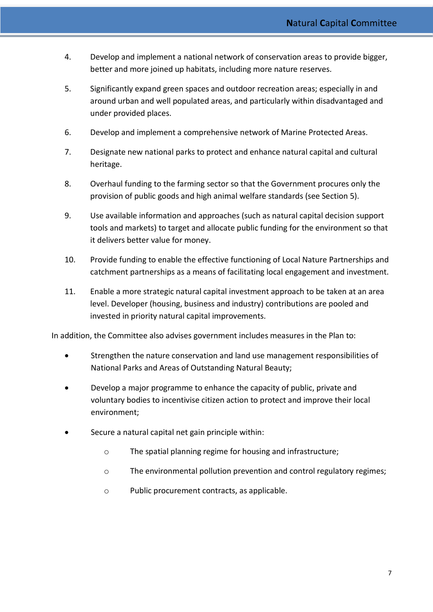- 4. Develop and implement a national network of conservation areas to provide bigger, better and more joined up habitats, including more nature reserves.
- 5. Significantly expand green spaces and outdoor recreation areas; especially in and around urban and well populated areas, and particularly within disadvantaged and under provided places.
- 6. Develop and implement a comprehensive network of Marine Protected Areas.
- 7. Designate new national parks to protect and enhance natural capital and cultural heritage.
- 8. Overhaul funding to the farming sector so that the Government procures only the provision of public goods and high animal welfare standards (see Section 5).
- 9. Use available information and approaches (such as natural capital decision support tools and markets) to target and allocate public funding for the environment so that it delivers better value for money.
- 10. Provide funding to enable the effective functioning of Local Nature Partnerships and catchment partnerships as a means of facilitating local engagement and investment.
- 11. Enable a more strategic natural capital investment approach to be taken at an area level. Developer (housing, business and industry) contributions are pooled and invested in priority natural capital improvements.

In addition, the Committee also advises government includes measures in the Plan to:

- Strengthen the nature conservation and land use management responsibilities of National Parks and Areas of Outstanding Natural Beauty;
- Develop a major programme to enhance the capacity of public, private and voluntary bodies to incentivise citizen action to protect and improve their local environment;
- Secure a natural capital net gain principle within:
	- o The spatial planning regime for housing and infrastructure;
	- o The environmental pollution prevention and control regulatory regimes;
	- o Public procurement contracts, as applicable.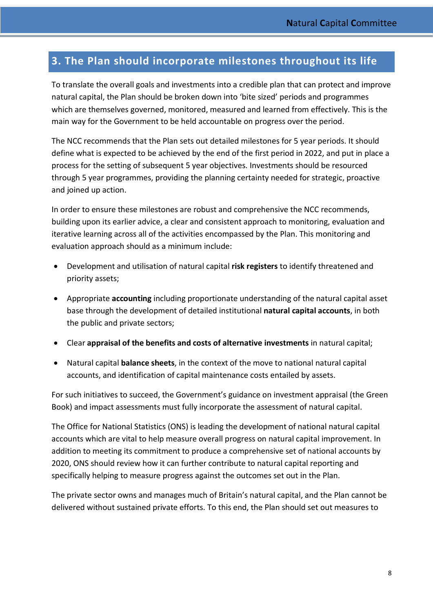#### <span id="page-8-0"></span>**3. The Plan should incorporate milestones throughout its life**

To translate the overall goals and investments into a credible plan that can protect and improve natural capital, the Plan should be broken down into 'bite sized' periods and programmes which are themselves governed, monitored, measured and learned from effectively. This is the main way for the Government to be held accountable on progress over the period.

The NCC recommends that the Plan sets out detailed milestones for 5 year periods. It should define what is expected to be achieved by the end of the first period in 2022, and put in place a process for the setting of subsequent 5 year objectives. Investments should be resourced through 5 year programmes, providing the planning certainty needed for strategic, proactive and joined up action.

In order to ensure these milestones are robust and comprehensive the NCC recommends, building upon its earlier advice, a clear and consistent approach to monitoring, evaluation and iterative learning across all of the activities encompassed by the Plan. This monitoring and evaluation approach should as a minimum include:

- Development and utilisation of natural capital **risk registers** to identify threatened and priority assets;
- Appropriate **accounting** including proportionate understanding of the natural capital asset base through the development of detailed institutional **natural capital accounts**, in both the public and private sectors;
- Clear **appraisal of the benefits and costs of alternative investments** in natural capital;
- Natural capital **balance sheets**, in the context of the move to national natural capital accounts, and identification of capital maintenance costs entailed by assets.

For such initiatives to succeed, the Government's guidance on investment appraisal (the Green Book) and impact assessments must fully incorporate the assessment of natural capital.

The Office for National Statistics (ONS) is leading the development of national natural capital accounts which are vital to help measure overall progress on natural capital improvement. In addition to meeting its commitment to produce a comprehensive set of national accounts by 2020, ONS should review how it can further contribute to natural capital reporting and specifically helping to measure progress against the outcomes set out in the Plan.

The private sector owns and manages much of Britain's natural capital, and the Plan cannot be delivered without sustained private efforts. To this end, the Plan should set out measures to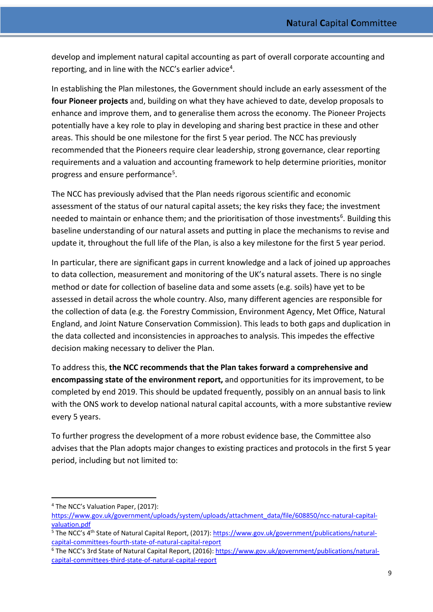develop and implement natural capital accounting as part of overall corporate accounting and reporting, and in line with the NCC's earlier advice<sup>4</sup>.

In establishing the Plan milestones, the Government should include an early assessment of the **four Pioneer projects** and, building on what they have achieved to date, develop proposals to enhance and improve them, and to generalise them across the economy. The Pioneer Projects potentially have a key role to play in developing and sharing best practice in these and other areas. This should be one milestone for the first 5 year period. The NCC has previously recommended that the Pioneers require clear leadership, strong governance, clear reporting requirements and a valuation and accounting framework to help determine priorities, monitor progress and ensure performance<sup>[5](#page-9-1)</sup>.

The NCC has previously advised that the Plan needs rigorous scientific and economic assessment of the status of our natural capital assets; the key risks they face; the investment needed to maintain or enhance them; and the prioritisation of those investments<sup>6</sup>. Building this baseline understanding of our natural assets and putting in place the mechanisms to revise and update it, throughout the full life of the Plan, is also a key milestone for the first 5 year period.

In particular, there are significant gaps in current knowledge and a lack of joined up approaches to data collection, measurement and monitoring of the UK's natural assets. There is no single method or date for collection of baseline data and some assets (e.g. soils) have yet to be assessed in detail across the whole country. Also, many different agencies are responsible for the collection of data (e.g. the Forestry Commission, Environment Agency, Met Office, Natural England, and Joint Nature Conservation Commission). This leads to both gaps and duplication in the data collected and inconsistencies in approaches to analysis. This impedes the effective decision making necessary to deliver the Plan.

To address this, **the NCC recommends that the Plan takes forward a comprehensive and encompassing state of the environment report,** and opportunities for its improvement, to be completed by end 2019. This should be updated frequently, possibly on an annual basis to link with the ONS work to develop national natural capital accounts, with a more substantive review every 5 years.

To further progress the development of a more robust evidence base, the Committee also advises that the Plan adopts major changes to existing practices and protocols in the first 5 year period, including but not limited to:

<span id="page-9-0"></span> <sup>4</sup> The NCC's Valuation Paper, (2017):

[https://www.gov.uk/government/uploads/system/uploads/attachment\\_data/file/608850/ncc-natural-capital](https://www.gov.uk/government/uploads/system/uploads/attachment_data/file/608850/ncc-natural-capital-valuation.pdf)[valuation.pdf](https://www.gov.uk/government/uploads/system/uploads/attachment_data/file/608850/ncc-natural-capital-valuation.pdf)

<span id="page-9-1"></span><sup>&</sup>lt;sup>5</sup> The NCC's 4<sup>th</sup> State of Natural Capital Report, (2017): [https://www.gov.uk/government/publications/natural](https://www.gov.uk/government/publications/natural-capital-committees-fourth-state-of-natural-capital-report)[capital-committees-fourth-state-of-natural-capital-report](https://www.gov.uk/government/publications/natural-capital-committees-fourth-state-of-natural-capital-report)

<span id="page-9-2"></span><sup>&</sup>lt;sup>6</sup> The NCC's 3rd State of Natural Capital Report, (2016)[: https://www.gov.uk/government/publications/natural](https://www.gov.uk/government/publications/natural-capital-committees-third-state-of-natural-capital-report)[capital-committees-third-state-of-natural-capital-report](https://www.gov.uk/government/publications/natural-capital-committees-third-state-of-natural-capital-report)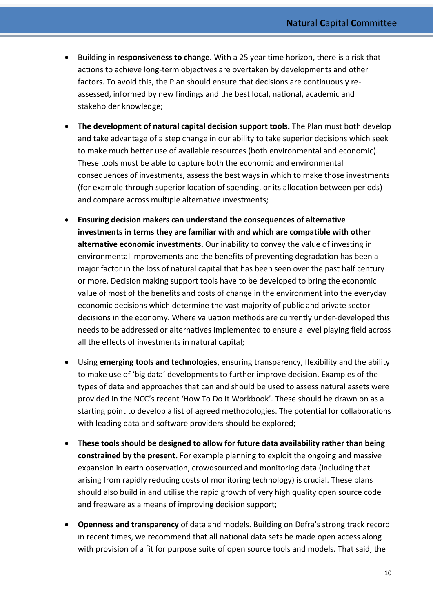- Building in **responsiveness to change**. With a 25 year time horizon, there is a risk that actions to achieve long-term objectives are overtaken by developments and other factors. To avoid this, the Plan should ensure that decisions are continuously reassessed, informed by new findings and the best local, national, academic and stakeholder knowledge;
- **The development of natural capital decision support tools.** The Plan must both develop and take advantage of a step change in our ability to take superior decisions which seek to make much better use of available resources (both environmental and economic). These tools must be able to capture both the economic and environmental consequences of investments, assess the best ways in which to make those investments (for example through superior location of spending, or its allocation between periods) and compare across multiple alternative investments;
- **Ensuring decision makers can understand the consequences of alternative investments in terms they are familiar with and which are compatible with other alternative economic investments.** Our inability to convey the value of investing in environmental improvements and the benefits of preventing degradation has been a major factor in the loss of natural capital that has been seen over the past half century or more. Decision making support tools have to be developed to bring the economic value of most of the benefits and costs of change in the environment into the everyday economic decisions which determine the vast majority of public and private sector decisions in the economy. Where valuation methods are currently under-developed this needs to be addressed or alternatives implemented to ensure a level playing field across all the effects of investments in natural capital;
- Using **emerging tools and technologies**, ensuring transparency, flexibility and the ability to make use of 'big data' developments to further improve decision. Examples of the types of data and approaches that can and should be used to assess natural assets were provided in the NCC's recent 'How To Do It Workbook'. These should be drawn on as a starting point to develop a list of agreed methodologies. The potential for collaborations with leading data and software providers should be explored;
- **These tools should be designed to allow for future data availability rather than being constrained by the present.** For example planning to exploit the ongoing and massive expansion in earth observation, crowdsourced and monitoring data (including that arising from rapidly reducing costs of monitoring technology) is crucial. These plans should also build in and utilise the rapid growth of very high quality open source code and freeware as a means of improving decision support;
- **Openness and transparency** of data and models. Building on Defra's strong track record in recent times, we recommend that all national data sets be made open access along with provision of a fit for purpose suite of open source tools and models. That said, the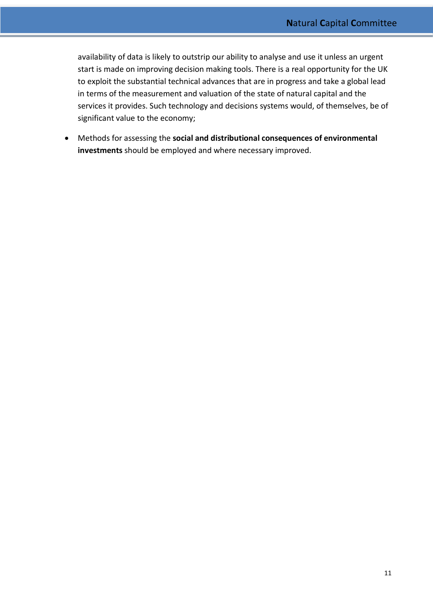availability of data is likely to outstrip our ability to analyse and use it unless an urgent start is made on improving decision making tools. There is a real opportunity for the UK to exploit the substantial technical advances that are in progress and take a global lead in terms of the measurement and valuation of the state of natural capital and the services it provides. Such technology and decisions systems would, of themselves, be of significant value to the economy;

• Methods for assessing the **social and distributional consequences of environmental investments** should be employed and where necessary improved.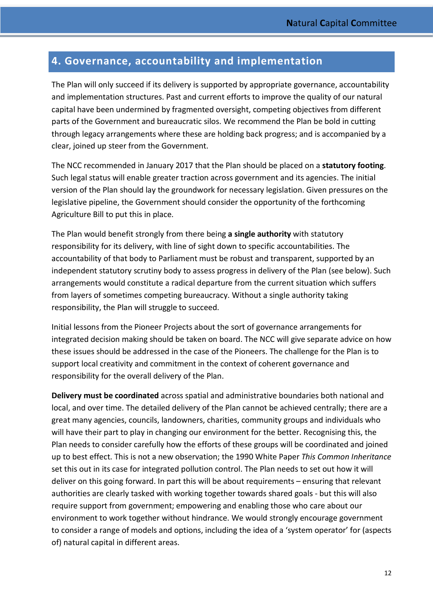#### <span id="page-12-0"></span>**4. Governance, accountability and implementation**

The Plan will only succeed if its delivery is supported by appropriate governance, accountability and implementation structures. Past and current efforts to improve the quality of our natural capital have been undermined by fragmented oversight, competing objectives from different parts of the Government and bureaucratic silos. We recommend the Plan be bold in cutting through legacy arrangements where these are holding back progress; and is accompanied by a clear, joined up steer from the Government.

The NCC recommended in January 2017 that the Plan should be placed on a **statutory footing**. Such legal status will enable greater traction across government and its agencies. The initial version of the Plan should lay the groundwork for necessary legislation. Given pressures on the legislative pipeline, the Government should consider the opportunity of the forthcoming Agriculture Bill to put this in place.

The Plan would benefit strongly from there being **a single authority** with statutory responsibility for its delivery, with line of sight down to specific accountabilities. The accountability of that body to Parliament must be robust and transparent, supported by an independent statutory scrutiny body to assess progress in delivery of the Plan (see below). Such arrangements would constitute a radical departure from the current situation which suffers from layers of sometimes competing bureaucracy. Without a single authority taking responsibility, the Plan will struggle to succeed.

Initial lessons from the Pioneer Projects about the sort of governance arrangements for integrated decision making should be taken on board. The NCC will give separate advice on how these issues should be addressed in the case of the Pioneers. The challenge for the Plan is to support local creativity and commitment in the context of coherent governance and responsibility for the overall delivery of the Plan.

**Delivery must be coordinated** across spatial and administrative boundaries both national and local, and over time. The detailed delivery of the Plan cannot be achieved centrally; there are a great many agencies, councils, landowners, charities, community groups and individuals who will have their part to play in changing our environment for the better. Recognising this, the Plan needs to consider carefully how the efforts of these groups will be coordinated and joined up to best effect. This is not a new observation; the 1990 White Paper *This Common Inheritance* set this out in its case for integrated pollution control. The Plan needs to set out how it will deliver on this going forward. In part this will be about requirements – ensuring that relevant authorities are clearly tasked with working together towards shared goals - but this will also require support from government; empowering and enabling those who care about our environment to work together without hindrance. We would strongly encourage government to consider a range of models and options, including the idea of a 'system operator' for (aspects of) natural capital in different areas.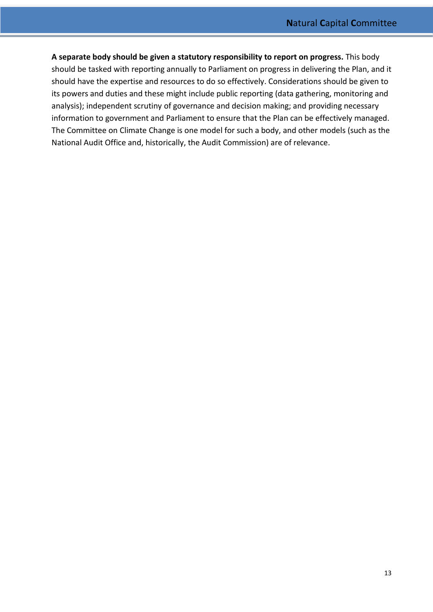**A separate body should be given a statutory responsibility to report on progress.** This body should be tasked with reporting annually to Parliament on progress in delivering the Plan, and it should have the expertise and resources to do so effectively. Considerations should be given to its powers and duties and these might include public reporting (data gathering, monitoring and analysis); independent scrutiny of governance and decision making; and providing necessary information to government and Parliament to ensure that the Plan can be effectively managed. The Committee on Climate Change is one model for such a body, and other models (such as the National Audit Office and, historically, the Audit Commission) are of relevance.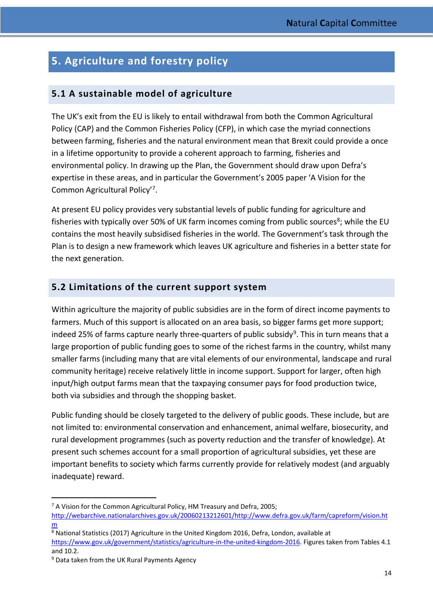# <span id="page-14-0"></span>**5. Agriculture and forestry policy**

#### <span id="page-14-1"></span>**5.1 A sustainable model of agriculture**

The UK's exit from the EU is likely to entail withdrawal from both the Common Agricultural Policy (CAP) and the Common Fisheries Policy (CFP), in which case the myriad connections between farming, fisheries and the natural environment mean that Brexit could provide a once in a lifetime opportunity to provide a coherent approach to farming, fisheries and environmental policy. In drawing up the Plan, the Government should draw upon Defra's expertise in these areas, and in particular the Government's 2005 paper 'A Vision for the Common Agricultural Policy'[7.](#page-14-3)

At present EU policy provides very substantial levels of public funding for agriculture and fisheries with typically over 50% of UK farm incomes coming from public sources<sup>8</sup>; while the EU contains the most heavily subsidised fisheries in the world. The Government's task through the Plan is to design a new framework which leaves UK agriculture and fisheries in a better state for the next generation.

#### <span id="page-14-2"></span>**5.2 Limitations of the current support system**

Within agriculture the majority of public subsidies are in the form of direct income payments to farmers. Much of this support is allocated on an area basis, so bigger farms get more support; indeed 25% of farms capture nearly three-quarters of public subsidy<sup>[9](#page-14-5)</sup>. This in turn means that a large proportion of public funding goes to some of the richest farms in the country, whilst many smaller farms (including many that are vital elements of our environmental, landscape and rural community heritage) receive relatively little in income support. Support for larger, often high input/high output farms mean that the taxpaying consumer pays for food production twice, both via subsidies and through the shopping basket.

Public funding should be closely targeted to the delivery of public goods. These include, but are not limited to: environmental conservation and enhancement, animal welfare, biosecurity, and rural development programmes (such as poverty reduction and the transfer of knowledge). At present such schemes account for a small proportion of agricultural subsidies, yet these are important benefits to society which farms currently provide for relatively modest (and arguably inadequate) reward.

<span id="page-14-3"></span> $7$  A Vision for the Common Agricultural Policy, HM Treasury and Defra, 2005;

[http://webarchive.nationalarchives.gov.uk/20060213212601/http://www.defra.gov.uk/farm/capreform/vision.ht](http://webarchive.nationalarchives.gov.uk/20060213212601/http:/www.defra.gov.uk/farm/capreform/vision.htm) [m](http://webarchive.nationalarchives.gov.uk/20060213212601/http:/www.defra.gov.uk/farm/capreform/vision.htm)

<span id="page-14-4"></span><sup>8</sup> National Statistics (2017) Agriculture in the United Kingdom 2016, Defra, London, available at [https://www.gov.uk/government/statistics/agriculture-in-the-united-kingdom-2016.](https://www.gov.uk/government/statistics/agriculture-in-the-united-kingdom-2016) Figures taken from Tables 4.1 and 10.2.

<span id="page-14-5"></span><sup>&</sup>lt;sup>9</sup> Data taken from the UK Rural Payments Agency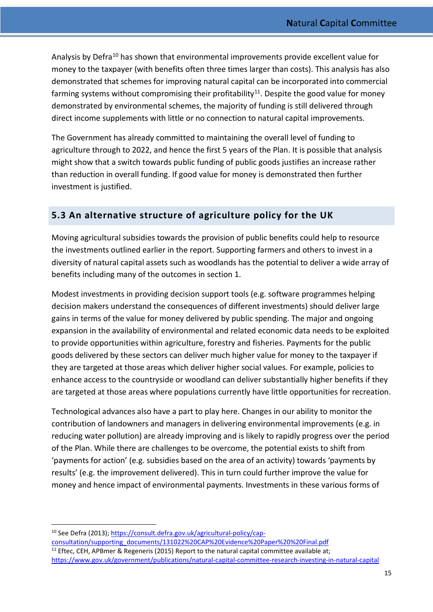Analysis by Defra<sup>[10](#page-15-1)</sup> has shown that environmental improvements provide excellent value for money to the taxpayer (with benefits often three times larger than costs). This analysis has also demonstrated that schemes for improving natural capital can be incorporated into commercial farming systems without compromising their profitability<sup>11</sup>. Despite the good value for money demonstrated by environmental schemes, the majority of funding is still delivered through direct income supplements with little or no connection to natural capital improvements.

The Government has already committed to maintaining the overall level of funding to agriculture through to 2022, and hence the first 5 years of the Plan. It is possible that analysis might show that a switch towards public funding of public goods justifies an increase rather than reduction in overall funding. If good value for money is demonstrated then further investment is justified.

#### <span id="page-15-0"></span>**5.3 An alternative structure of agriculture policy for the UK**

Moving agricultural subsidies towards the provision of public benefits could help to resource the investments outlined earlier in the report. Supporting farmers and others to invest in a diversity of natural capital assets such as woodlands has the potential to deliver a wide array of benefits including many of the outcomes in section 1.

Modest investments in providing decision support tools (e.g. software programmes helping decision makers understand the consequences of different investments) should deliver large gains in terms of the value for money delivered by public spending. The major and ongoing expansion in the availability of environmental and related economic data needs to be exploited to provide opportunities within agriculture, forestry and fisheries. Payments for the public goods delivered by these sectors can deliver much higher value for money to the taxpayer if they are targeted at those areas which deliver higher social values. For example, policies to enhance access to the countryside or woodland can deliver substantially higher benefits if they are targeted at those areas where populations currently have little opportunities for recreation.

Technological advances also have a part to play here. Changes in our ability to monitor the contribution of landowners and managers in delivering environmental improvements (e.g. in reducing water pollution) are already improving and is likely to rapidly progress over the period of the Plan. While there are challenges to be overcome, the potential exists to shift from 'payments for action' (e.g. subsidies based on the area of an activity) towards 'payments by results' (e.g. the improvement delivered). This in turn could further improve the value for money and hence impact of environmental payments. Investments in these various forms of

<span id="page-15-2"></span><span id="page-15-1"></span> <sup>10</sup> See Defra (2013)[; https://consult.defra.gov.uk/agricultural-policy/cap](https://consult.defra.gov.uk/agricultural-policy/cap-consultation/supporting_documents/131022%20CAP%20Evidence%20Paper%20%20Final.pdf)[consultation/supporting\\_documents/131022%20CAP%20Evidence%20Paper%20%20Final.pdf](https://consult.defra.gov.uk/agricultural-policy/cap-consultation/supporting_documents/131022%20CAP%20Evidence%20Paper%20%20Final.pdf)  $11$  Eftec, CEH, APBmer & Regeneris (2015) Report to the natural capital committee available at;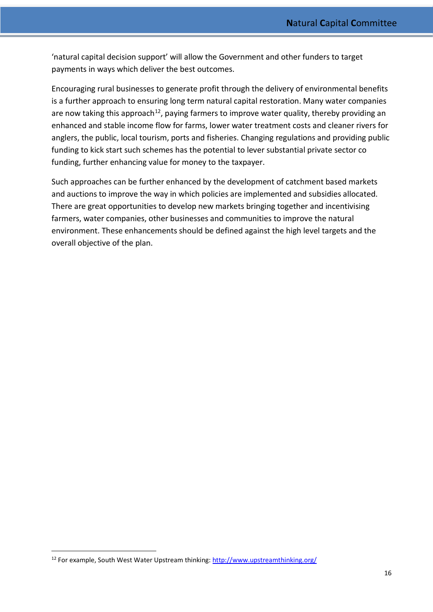'natural capital decision support' will allow the Government and other funders to target payments in ways which deliver the best outcomes.

Encouraging rural businesses to generate profit through the delivery of environmental benefits is a further approach to ensuring long term natural capital restoration. Many water companies are now taking this approach<sup>[12](#page-16-0)</sup>, paying farmers to improve water quality, thereby providing an enhanced and stable income flow for farms, lower water treatment costs and cleaner rivers for anglers, the public, local tourism, ports and fisheries. Changing regulations and providing public funding to kick start such schemes has the potential to lever substantial private sector co funding, further enhancing value for money to the taxpayer.

Such approaches can be further enhanced by the development of catchment based markets and auctions to improve the way in which policies are implemented and subsidies allocated. There are great opportunities to develop new markets bringing together and incentivising farmers, water companies, other businesses and communities to improve the natural environment. These enhancements should be defined against the high level targets and the overall objective of the plan.

<span id="page-16-0"></span><sup>&</sup>lt;sup>12</sup> For example, South West Water Upstream thinking: <http://www.upstreamthinking.org/>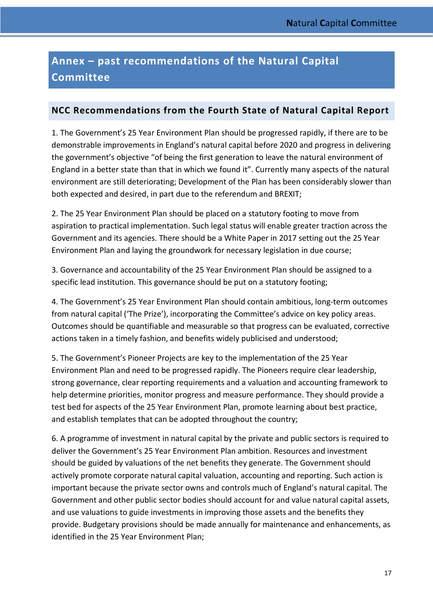# <span id="page-17-0"></span>**Annex – past recommendations of the Natural Capital Committee**

#### <span id="page-17-1"></span>**NCC Recommendations from the Fourth State of Natural Capital Report**

1. The Government's 25 Year Environment Plan should be progressed rapidly, if there are to be demonstrable improvements in England's natural capital before 2020 and progress in delivering the government's objective "of being the first generation to leave the natural environment of England in a better state than that in which we found it". Currently many aspects of the natural environment are still deteriorating; Development of the Plan has been considerably slower than both expected and desired, in part due to the referendum and BREXIT;

2. The 25 Year Environment Plan should be placed on a statutory footing to move from aspiration to practical implementation. Such legal status will enable greater traction across the Government and its agencies. There should be a White Paper in 2017 setting out the 25 Year Environment Plan and laying the groundwork for necessary legislation in due course;

3. Governance and accountability of the 25 Year Environment Plan should be assigned to a specific lead institution. This governance should be put on a statutory footing;

4. The Government's 25 Year Environment Plan should contain ambitious, long-term outcomes from natural capital ('The Prize'), incorporating the Committee's advice on key policy areas. Outcomes should be quantifiable and measurable so that progress can be evaluated, corrective actions taken in a timely fashion, and benefits widely publicised and understood;

5. The Government's Pioneer Projects are key to the implementation of the 25 Year Environment Plan and need to be progressed rapidly. The Pioneers require clear leadership, strong governance, clear reporting requirements and a valuation and accounting framework to help determine priorities, monitor progress and measure performance. They should provide a test bed for aspects of the 25 Year Environment Plan, promote learning about best practice, and establish templates that can be adopted throughout the country;

6. A programme of investment in natural capital by the private and public sectors is required to deliver the Government's 25 Year Environment Plan ambition. Resources and investment should be guided by valuations of the net benefits they generate. The Government should actively promote corporate natural capital valuation, accounting and reporting. Such action is important because the private sector owns and controls much of England's natural capital. The Government and other public sector bodies should account for and value natural capital assets, and use valuations to guide investments in improving those assets and the benefits they provide. Budgetary provisions should be made annually for maintenance and enhancements, as identified in the 25 Year Environment Plan;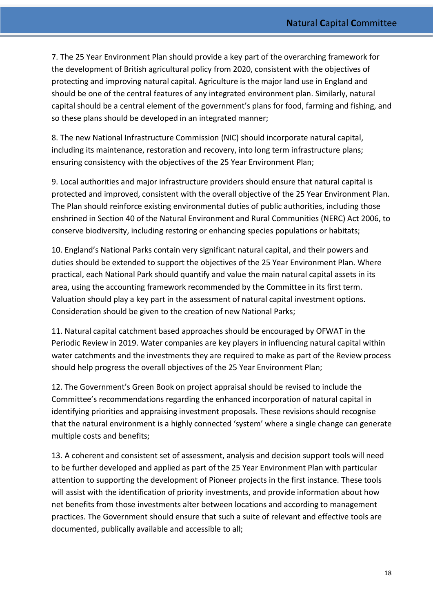7. The 25 Year Environment Plan should provide a key part of the overarching framework for the development of British agricultural policy from 2020, consistent with the objectives of protecting and improving natural capital. Agriculture is the major land use in England and should be one of the central features of any integrated environment plan. Similarly, natural capital should be a central element of the government's plans for food, farming and fishing, and so these plans should be developed in an integrated manner;

8. The new National Infrastructure Commission (NIC) should incorporate natural capital, including its maintenance, restoration and recovery, into long term infrastructure plans; ensuring consistency with the objectives of the 25 Year Environment Plan;

9. Local authorities and major infrastructure providers should ensure that natural capital is protected and improved, consistent with the overall objective of the 25 Year Environment Plan. The Plan should reinforce existing environmental duties of public authorities, including those enshrined in Section 40 of the Natural Environment and Rural Communities (NERC) Act 2006, to conserve biodiversity, including restoring or enhancing species populations or habitats;

10. England's National Parks contain very significant natural capital, and their powers and duties should be extended to support the objectives of the 25 Year Environment Plan. Where practical, each National Park should quantify and value the main natural capital assets in its area, using the accounting framework recommended by the Committee in its first term. Valuation should play a key part in the assessment of natural capital investment options. Consideration should be given to the creation of new National Parks;

11. Natural capital catchment based approaches should be encouraged by OFWAT in the Periodic Review in 2019. Water companies are key players in influencing natural capital within water catchments and the investments they are required to make as part of the Review process should help progress the overall objectives of the 25 Year Environment Plan;

12. The Government's Green Book on project appraisal should be revised to include the Committee's recommendations regarding the enhanced incorporation of natural capital in identifying priorities and appraising investment proposals. These revisions should recognise that the natural environment is a highly connected 'system' where a single change can generate multiple costs and benefits;

13. A coherent and consistent set of assessment, analysis and decision support tools will need to be further developed and applied as part of the 25 Year Environment Plan with particular attention to supporting the development of Pioneer projects in the first instance. These tools will assist with the identification of priority investments, and provide information about how net benefits from those investments alter between locations and according to management practices. The Government should ensure that such a suite of relevant and effective tools are documented, publically available and accessible to all;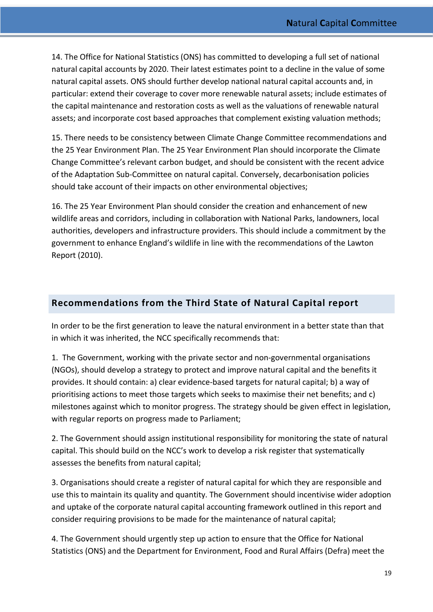14. The Office for National Statistics (ONS) has committed to developing a full set of national natural capital accounts by 2020. Their latest estimates point to a decline in the value of some natural capital assets. ONS should further develop national natural capital accounts and, in particular: extend their coverage to cover more renewable natural assets; include estimates of the capital maintenance and restoration costs as well as the valuations of renewable natural assets; and incorporate cost based approaches that complement existing valuation methods;

15. There needs to be consistency between Climate Change Committee recommendations and the 25 Year Environment Plan. The 25 Year Environment Plan should incorporate the Climate Change Committee's relevant carbon budget, and should be consistent with the recent advice of the Adaptation Sub-Committee on natural capital. Conversely, decarbonisation policies should take account of their impacts on other environmental objectives;

16. The 25 Year Environment Plan should consider the creation and enhancement of new wildlife areas and corridors, including in collaboration with National Parks, landowners, local authorities, developers and infrastructure providers. This should include a commitment by the government to enhance England's wildlife in line with the recommendations of the Lawton Report (2010).

#### <span id="page-19-0"></span>**Recommendations from the Third State of Natural Capital report**

In order to be the first generation to leave the natural environment in a better state than that in which it was inherited, the NCC specifically recommends that:

1. The Government, working with the private sector and non-governmental organisations (NGOs), should develop a strategy to protect and improve natural capital and the benefits it provides. It should contain: a) clear evidence-based targets for natural capital; b) a way of prioritising actions to meet those targets which seeks to maximise their net benefits; and c) milestones against which to monitor progress. The strategy should be given effect in legislation, with regular reports on progress made to Parliament;

2. The Government should assign institutional responsibility for monitoring the state of natural capital. This should build on the NCC's work to develop a risk register that systematically assesses the benefits from natural capital;

3. Organisations should create a register of natural capital for which they are responsible and use this to maintain its quality and quantity. The Government should incentivise wider adoption and uptake of the corporate natural capital accounting framework outlined in this report and consider requiring provisions to be made for the maintenance of natural capital;

4. The Government should urgently step up action to ensure that the Office for National Statistics (ONS) and the Department for Environment, Food and Rural Affairs (Defra) meet the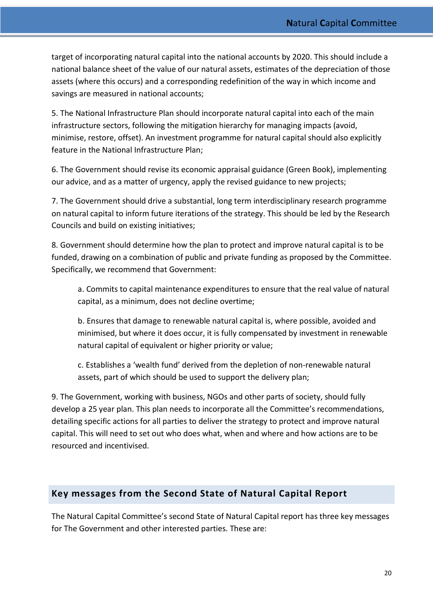target of incorporating natural capital into the national accounts by 2020. This should include a national balance sheet of the value of our natural assets, estimates of the depreciation of those assets (where this occurs) and a corresponding redefinition of the way in which income and savings are measured in national accounts;

5. The National Infrastructure Plan should incorporate natural capital into each of the main infrastructure sectors, following the mitigation hierarchy for managing impacts (avoid, minimise, restore, offset). An investment programme for natural capital should also explicitly feature in the National Infrastructure Plan;

6. The Government should revise its economic appraisal guidance (Green Book), implementing our advice, and as a matter of urgency, apply the revised guidance to new projects;

7. The Government should drive a substantial, long term interdisciplinary research programme on natural capital to inform future iterations of the strategy. This should be led by the Research Councils and build on existing initiatives;

8. Government should determine how the plan to protect and improve natural capital is to be funded, drawing on a combination of public and private funding as proposed by the Committee. Specifically, we recommend that Government:

a. Commits to capital maintenance expenditures to ensure that the real value of natural capital, as a minimum, does not decline overtime;

b. Ensures that damage to renewable natural capital is, where possible, avoided and minimised, but where it does occur, it is fully compensated by investment in renewable natural capital of equivalent or higher priority or value;

c. Establishes a 'wealth fund' derived from the depletion of non-renewable natural assets, part of which should be used to support the delivery plan;

9. The Government, working with business, NGOs and other parts of society, should fully develop a 25 year plan. This plan needs to incorporate all the Committee's recommendations, detailing specific actions for all parties to deliver the strategy to protect and improve natural capital. This will need to set out who does what, when and where and how actions are to be resourced and incentivised.

#### <span id="page-20-0"></span>**Key messages from the Second State of Natural Capital Report**

The Natural Capital Committee's second State of Natural Capital report has three key messages for The Government and other interested parties. These are: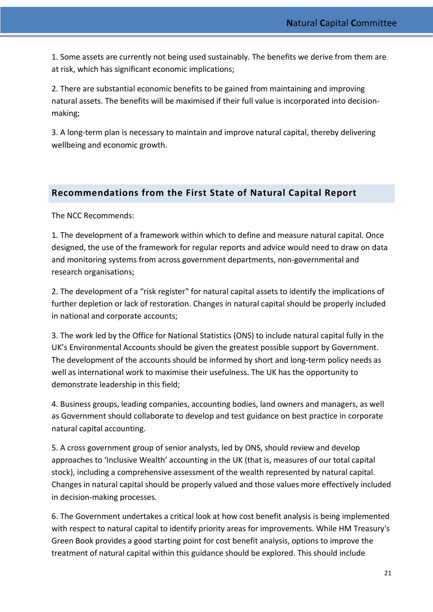1. Some assets are currently not being used sustainably. The benefits we derive from them are at risk, which has significant economic implications;

2. There are substantial economic benefits to be gained from maintaining and improving natural assets. The benefits will be maximised if their full value is incorporated into decisionmaking;

3. A long-term plan is necessary to maintain and improve natural capital, thereby delivering wellbeing and economic growth.

#### <span id="page-21-0"></span>**Recommendations from the First State of Natural Capital Report**

The NCC Recommends:

1. The development of a framework within which to define and measure natural capital. Once designed, the use of the framework for regular reports and advice would need to draw on data and monitoring systems from across government departments, non-governmental and research organisations;

2. The development of a "risk register" for natural capital assets to identify the implications of further depletion or lack of restoration. Changes in natural capital should be properly included in national and corporate accounts;

3. The work led by the Office for National Statistics (ONS) to include natural capital fully in the UK's Environmental Accounts should be given the greatest possible support by Government. The development of the accounts should be informed by short and long-term policy needs as well as international work to maximise their usefulness. The UK has the opportunity to demonstrate leadership in this field;

4. Business groups, leading companies, accounting bodies, land owners and managers, as well as Government should collaborate to develop and test guidance on best practice in corporate natural capital accounting.

5. A cross government group of senior analysts, led by ONS, should review and develop approaches to 'Inclusive Wealth' accounting in the UK (that is, measures of our total capital stock), including a comprehensive assessment of the wealth represented by natural capital. Changes in natural capital should be properly valued and those values more effectively included in decision-making processes.

6. The Government undertakes a critical look at how cost benefit analysis is being implemented with respect to natural capital to identify priority areas for improvements. While HM Treasury's Green Book provides a good starting point for cost benefit analysis, options to improve the treatment of natural capital within this guidance should be explored. This should include